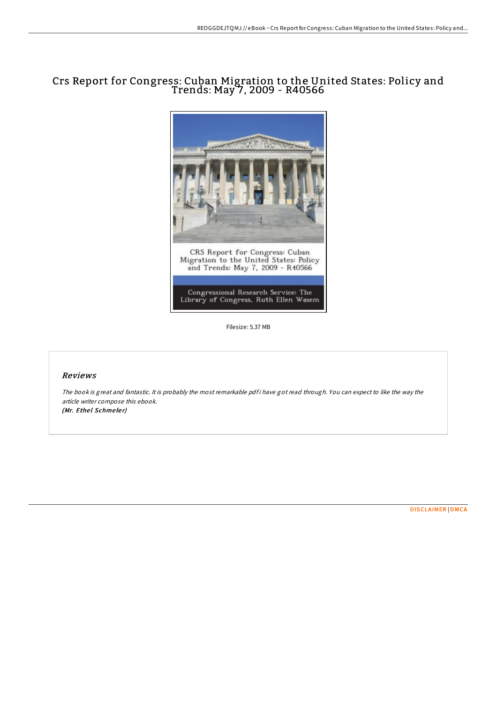# Crs Report for Congress: Cuban Migration to the United States: Policy and Trends: May 7, 2009 - R40566



Filesize: 5.37 MB

## Reviews

The book is great and fantastic. It is probably the most remarkable pdf i have got read through. You can expect to like the way the article writer compose this ebook. (Mr. Ethel Schmeler)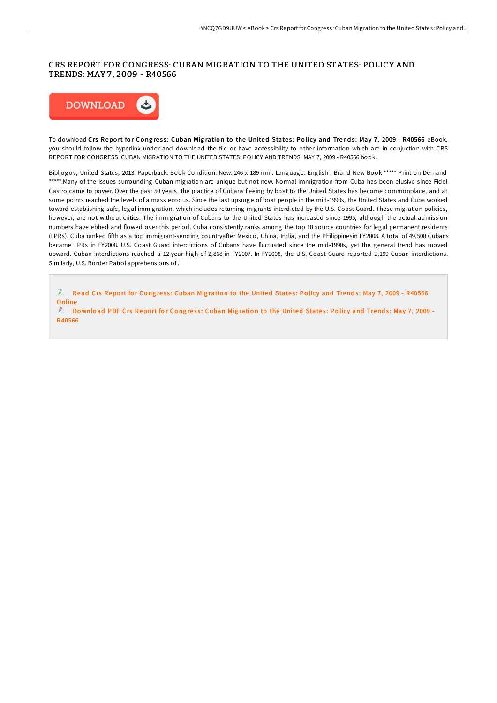### CRS REPORT FOR CONGRESS: CUBAN MIGRATION TO THE UNITED STATES: POLICY AND TRENDS: MAY 7 , 2009 - R40566



To download Crs Report for Congress: Cuban Migration to the United States: Policy and Trends: May 7, 2009 - R40566 eBook, you should follow the hyperlink under and download the file or have accessibility to other information which are in conjuction with CRS REPORT FOR CONGRESS: CUBAN MIGRATION TO THE UNITED STATES: POLICY AND TRENDS: MAY 7, 2009 - R40566 book.

Bibliogov, United States, 2013. Paperback. Book Condition: New. 246 x 189 mm. Language: English . Brand New Book \*\*\*\*\* Print on Demand \*\*\*\*\*.Many of the issues surrounding Cuban migration are unique but not new. Normal immigration from Cuba has been elusive since Fidel Castro came to power. Over the past 50 years, the practice of Cubans fleeing by boat to the United States has become commonplace, and at some points reached the levels of a mass exodus. Since the last upsurge of boat people in the mid-1990s, the United States and Cuba worked toward establishing safe, legal immigration, which includes returning migrants interdicted by the U.S. Coast Guard. These migration policies, however, are not without critics. The immigration of Cubans to the United States has increased since 1995, although the actual admission numbers have ebbed and flowed over this period. Cuba consistently ranks among the top 10 source countries for legal permanent residents (LPRs). Cuba ranked fifth as a top immigrant-sending countryafter Mexico, China, India, and the Philippinesin FY2008. A total of 49,500 Cubans became LPRs in FY2008. U.S. Coast Guard interdictions of Cubans have fluctuated since the mid-1990s, yet the general trend has moved upward. Cuban interdictions reached a 12-year high of 2,868 in FY2007. In FY2008, the U.S. Coast Guard reported 2,199 Cuban interdictions. Similarly, U.S. Border Patrol apprehensions of .

Read Crs Report for Congress: Cuban Migration to the United States: Policy and Trends: May 7, 2009 - [R40566](http://almighty24.tech/crs-report-for-congress-cuban-migration-to-the-u.html)  $\mathbf{B}$ **Online** 

 $\Box$  Download PDF Crs Report for Congress: Cuban Migration to the United States: Policy and Trends: May 7, 2009 -[R40566](http://almighty24.tech/crs-report-for-congress-cuban-migration-to-the-u.html)